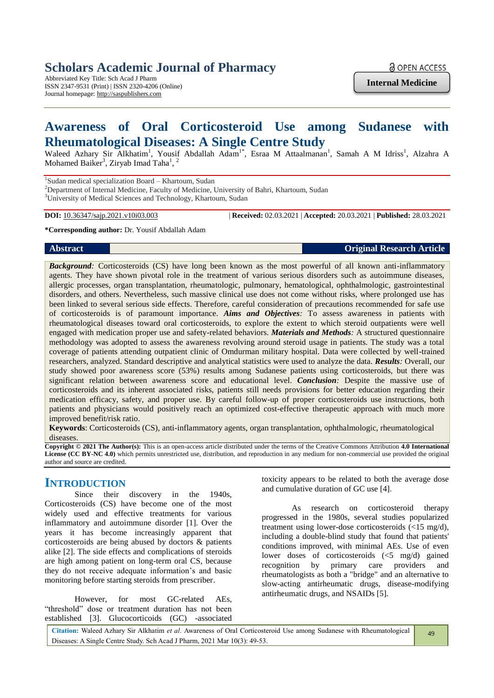# **Scholars Academic Journal of Pharmacy**

Abbreviated Key Title: Sch Acad J Pharm ISSN 2347-9531 (Print) | ISSN 2320-4206 (Online) Journal homepage: http://saspublishers.com

**Internal Medicine**

# **Awareness of Oral Corticosteroid Use among Sudanese with Rheumatological Diseases: A Single Centre Study**

Waleed Azhary Sir Alkhatim<sup>1</sup>, Yousif Abdallah Adam<sup>1\*</sup>, Esraa M Attaalmanan<sup>1</sup>, Samah A M Idriss<sup>1</sup>, Alzahra A Mohamed Baiker<sup>3</sup>, Ziryab Imad Taha<sup>1</sup>, <sup>2</sup>

<sup>1</sup>Sudan medical specialization Board - Khartoum, Sudan

2Department of Internal Medicine, Faculty of Medicine, University of Bahri, Khartoum, Sudan

<sup>3</sup>University of Medical Sciences and Technology, Khartoum, Sudan

**DOI:** 10.36347/sajp.2021.v10i03.003 | **Received:** 02.03.2021 | **Accepted:** 20.03.2021 | **Published:** 28.03.2021

**\*Corresponding author:** Dr. Yousif Abdallah Adam

**Abstract Original Research Article**

*Background:* Corticosteroids (CS) have long been known as the most powerful of all known anti-inflammatory agents. They have shown pivotal role in the treatment of various serious disorders such as autoimmune diseases, allergic processes, organ transplantation, rheumatologic, pulmonary, hematological, ophthalmologic, gastrointestinal disorders, and others. Nevertheless, such massive clinical use does not come without risks, where prolonged use has been linked to several serious side effects. Therefore, careful consideration of precautions recommended for safe use of corticosteroids is of paramount importance. *Aims and Objectives:* To assess awareness in patients with rheumatological diseases toward oral corticosteroids, to explore the extent to which steroid outpatients were well engaged with medication proper use and safety-related behaviors. *Materials and Methods:* A structured questionnaire methodology was adopted to assess the awareness revolving around steroid usage in patients. The study was a total coverage of patients attending outpatient clinic of Omdurman military hospital. Data were collected by well-trained researchers, analyzed. Standard descriptive and analytical statistics were used to analyze the data. *Results:* Overall, our study showed poor awareness score (53%) results among Sudanese patients using corticosteroids, but there was significant relation between awareness score and educational level. *Conclusion:* Despite the massive use of corticosteroids and its inherent associated risks, patients still needs provisions for better education regarding their medication efficacy, safety, and proper use. By careful follow-up of proper corticosteroids use instructions, both patients and physicians would positively reach an optimized cost-effective therapeutic approach with much more improved benefit/risk ratio.

**Keywords**: Corticosteroids (CS), anti-inflammatory agents, organ transplantation, ophthalmologic, rheumatological diseases.

**Copyright © 2021 The Author(s):** This is an open-access article distributed under the terms of the Creative Commons Attribution **4.0 International License (CC BY-NC 4.0)** which permits unrestricted use, distribution, and reproduction in any medium for non-commercial use provided the original author and source are credited.

# **INTRODUCTION**

Since their discovery in the 1940s, Corticosteroids (CS) have become one of the most widely used and effective treatments for various inflammatory and autoimmune disorder [1]. Over the years it has become increasingly apparent that corticosteroids are being abused by doctors & patients alike [2]. The side effects and complications of steroids are high among patient on long-term oral CS, because they do not receive adequate information's and basic monitoring before starting steroids from prescriber.

However, for most GC-related AEs, "threshold" dose or treatment duration has not been established [3]. Glucocorticoids (GC) -associated

toxicity appears to be related to both the average dose and cumulative duration of GC use [4].

As research on corticosteroid therapy progressed in the 1980s, several studies popularized treatment using lower-dose corticosteroids (<15 mg/d), including a double-blind study that found that patients' conditions improved, with minimal AEs. Use of even lower doses of corticosteroids (<5 mg/d) gained recognition by primary care providers and rheumatologists as both a "bridge" and an alternative to slow-acting antirheumatic drugs, disease-modifying antirheumatic drugs, and NSAIDs [5].

**Citation:** Waleed Azhary Sir Alkhatim *et al*. Awareness of Oral Corticosteroid Use among Sudanese with Rheumatological Diseases: A Single Centre Study. Sch Acad J Pharm, 2021 Mar 10(3): 49-53.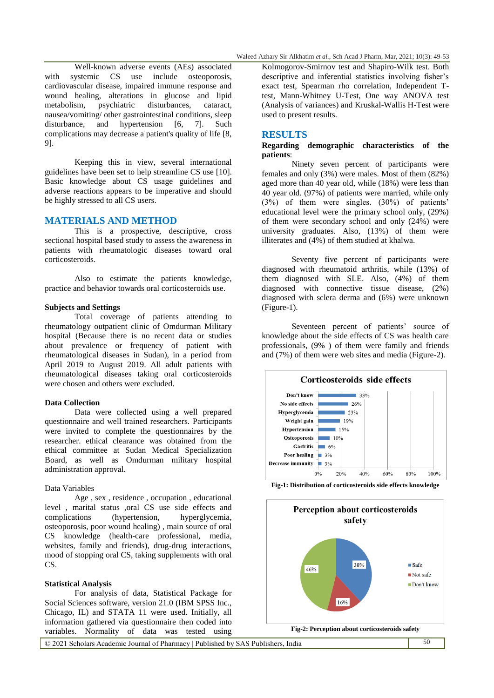Well-known adverse events (AEs) associated with systemic CS use include osteoporosis, cardiovascular disease, impaired immune response and wound healing, alterations in glucose and lipid metabolism, psychiatric disturbances, cataract, nausea/vomiting/ other gastrointestinal conditions, sleep disturbance, and hypertension [6, 7]. Such complications may decrease a patient's quality of life [8, 9].

Keeping this in view, several international guidelines have been set to help streamline CS use [10]. Basic knowledge about CS usage guidelines and adverse reactions appears to be imperative and should be highly stressed to all CS users.

## **MATERIALS AND METHOD**

This is a prospective, descriptive, cross sectional hospital based study to assess the awareness in patients with rheumatologic diseases toward oral corticosteroids.

Also to estimate the patients knowledge, practice and behavior towards oral corticosteroids use.

## **Subjects and Settings**

Total coverage of patients attending to rheumatology outpatient clinic of Omdurman Military hospital (Because there is no recent data or studies about prevalence or frequency of patient with rheumatological diseases in Sudan), in a period from April 2019 to August 2019. All adult patients with rheumatological diseases taking oral corticosteroids were chosen and others were excluded.

## **Data Collection**

Data were collected using a well prepared questionnaire and well trained researchers. Participants were invited to complete the questionnaires by the researcher. ethical clearance was obtained from the ethical committee at Sudan Medical Specialization Board, as well as Omdurman military hospital administration approval.

#### Data Variables

Age , sex , residence , occupation , educational level , marital status ,oral CS use side effects and complications (hypertension, hyperglycemia, osteoporosis, poor wound healing) , main source of oral CS knowledge (health-care professional, media, websites, family and friends), drug-drug interactions, mood of stopping oral CS, taking supplements with oral CS.

# **Statistical Analysis**

For analysis of data, Statistical Package for Social Sciences software, version 21.0 (IBM SPSS Inc., Chicago, IL) and STATA 11 were used. Initially, all information gathered via questionnaire then coded into variables. Normality of data was tested using

Kolmogorov-Smirnov test and Shapiro-Wilk test. Both descriptive and inferential statistics involving fisher's exact test, Spearman rho correlation, Independent Ttest, Mann-Whitney U-Test, One way ANOVA test (Analysis of variances) and Kruskal-Wallis H-Test were used to present results.

# **RESULTS**

# **Regarding demographic characteristics of the patients**:

Ninety seven percent of participants were females and only (3%) were males. Most of them (82%) aged more than 40 year old, while (18%) were less than 40 year old. (97%) of patients were married, while only (3%) of them were singles. (30%) of patients' educational level were the primary school only, (29%) of them were secondary school and only (24%) were university graduates. Also, (13%) of them were illiterates and (4%) of them studied at khalwa.

Seventy five percent of participants were diagnosed with rheumatoid arthritis, while (13%) of them diagnosed with SLE. Also, (4%) of them diagnosed with connective tissue disease, (2%) diagnosed with sclera derma and (6%) were unknown (Figure-1).

Seventeen percent of patients' source of knowledge about the side effects of CS was health care professionals, (9% ) of them were family and friends and (7%) of them were web sites and media (Figure-2).



**Fig-1: Distribution of corticosteroids side effects knowledge**



**Fig-2: Perception about corticosteroids safety**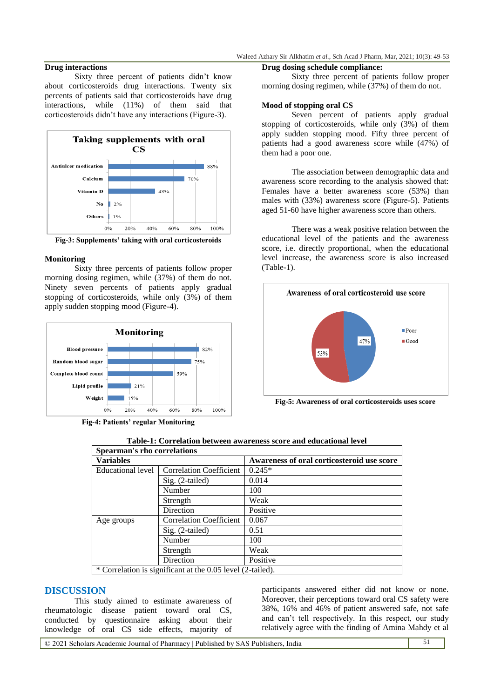# **Drug interactions**

Sixty three percent of patients didn't know about corticosteroids drug interactions. Twenty six percents of patients said that corticosteroids have drug interactions, while (11%) of them said that corticosteroids didn't have any interactions (Figure-3).



**Fig-3: Supplements' taking with oral corticosteroids**

## **Monitoring**

Sixty three percents of patients follow proper morning dosing regimen, while (37%) of them do not. Ninety seven percents of patients apply gradual stopping of corticosteroids, while only (3%) of them apply sudden stopping mood (Figure-4).



**Fig-4: Patients' regular Monitoring**

# **Drug dosing schedule compliance:**

Sixty three percent of patients follow proper morning dosing regimen, while (37%) of them do not.

# **Mood of stopping oral CS**

Seven percent of patients apply gradual stopping of corticosteroids, while only  $(3\%)$  of them apply sudden stopping mood. Fifty three percent of patients had a good awareness score while (47%) of them had a poor one.

The association between demographic data and awareness score recording to the analysis showed that: Females have a better awareness score (53%) than males with (33%) awareness score (Figure-5). Patients aged 51-60 have higher awareness score than others.

There was a weak positive relation between the educational level of the patients and the awareness score, i.e. directly proportional, when the educational level increase, the awareness score is also increased (Table-1).



**Fig-5: Awareness of oral corticosteroids uses score**

| <b>Spearman's rho correlations</b> |                                                            |                                            |  |
|------------------------------------|------------------------------------------------------------|--------------------------------------------|--|
| <b>Variables</b>                   |                                                            | Awareness of oral corticosteroid use score |  |
| Educational level                  | <b>Correlation Coefficient</b>                             | $0.245*$                                   |  |
|                                    | Sig. (2-tailed)                                            | 0.014                                      |  |
|                                    | Number                                                     | 100                                        |  |
|                                    | Strength                                                   | Weak                                       |  |
|                                    | Direction                                                  | Positive                                   |  |
| Age groups                         | <b>Correlation Coefficient</b>                             | 0.067                                      |  |
|                                    | $Sig. (2-tailed)$                                          | 0.51                                       |  |
|                                    | Number                                                     | 100                                        |  |
|                                    | Strength                                                   | Weak                                       |  |
|                                    | Direction                                                  | Positive                                   |  |
|                                    | * Correlation is significant at the 0.05 level (2-tailed). |                                            |  |

|  | Table-1: Correlation between awareness score and educational level |  |
|--|--------------------------------------------------------------------|--|
|--|--------------------------------------------------------------------|--|

# **DISCUSSION**

This study aimed to estimate awareness of rheumatologic disease patient toward oral CS, conducted by questionnaire asking about their knowledge of oral CS side effects, majority of

participants answered either did not know or none. Moreover, their perceptions toward oral CS safety were 38%, 16% and 46% of patient answered safe, not safe and can't tell respectively. In this respect, our study relatively agree with the finding of Amina Mahdy et al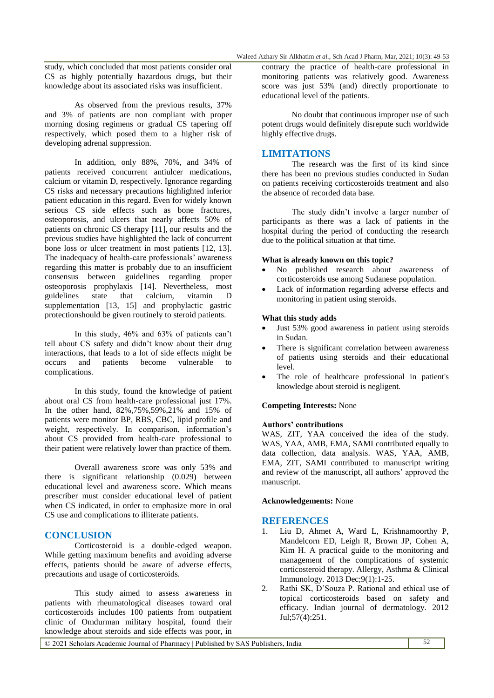study, which concluded that most patients consider oral CS as highly potentially hazardous drugs, but their knowledge about its associated risks was insufficient.

As observed from the previous results, 37% and 3% of patients are non compliant with proper morning dosing regimens or gradual CS tapering off respectively, which posed them to a higher risk of developing adrenal suppression.

In addition, only 88%, 70%, and 34% of patients received concurrent antiulcer medications, calcium or vitamin D, respectively. Ignorance regarding CS risks and necessary precautions highlighted inferior patient education in this regard. Even for widely known serious CS side effects such as bone fractures, osteoporosis, and ulcers that nearly affects 50% of patients on chronic CS therapy [11], our results and the previous studies have highlighted the lack of concurrent bone loss or ulcer treatment in most patients [12, 13]. The inadequacy of health-care professionals' awareness regarding this matter is probably due to an insufficient consensus between guidelines regarding proper osteoporosis prophylaxis [14]. Nevertheless, most guidelines state that calcium, vitamin D supplementation [13, 15] and prophylactic gastric protectionshould be given routinely to steroid patients.

In this study, 46% and 63% of patients can't tell about CS safety and didn't know about their drug interactions, that leads to a lot of side effects might be occurs and patients become vulnerable to complications.

In this study, found the knowledge of patient about oral CS from health-care professional just 17%. In the other hand, 82%,75%,59%,21% and 15% of patients were monitor BP, RBS, CBC, lipid profile and weight, respectively. In comparison, information's about CS provided from health-care professional to their patient were relatively lower than practice of them.

Overall awareness score was only 53% and there is significant relationship (0.029) between educational level and awareness score. Which means prescriber must consider educational level of patient when CS indicated, in order to emphasize more in oral CS use and complications to illiterate patients.

# **CONCLUSION**

Corticosteroid is a double-edged weapon. While getting maximum benefits and avoiding adverse effects, patients should be aware of adverse effects, precautions and usage of corticosteroids.

This study aimed to assess awareness in patients with rheumatological diseases toward oral corticosteroids includes 100 patients from outpatient clinic of Omdurman military hospital, found their knowledge about steroids and side effects was poor, in

contrary the practice of health-care professional in monitoring patients was relatively good. Awareness score was just 53% (and) directly proportionate to educational level of the patients.

No doubt that continuous improper use of such potent drugs would definitely disrepute such worldwide highly effective drugs.

# **LIMITATIONS**

The research was the first of its kind since there has been no previous studies conducted in Sudan on patients receiving corticosteroids treatment and also the absence of recorded data base.

The study didn't involve a larger number of participants as there was a lack of patients in the hospital during the period of conducting the research due to the political situation at that time.

# **What is already known on this topic?**

- No published research about awareness of corticosteroids use among Sudanese population.
- Lack of information regarding adverse effects and monitoring in patient using steroids.

## **What this study adds**

- Just 53% good awareness in patient using steroids in Sudan.
- There is significant correlation between awareness of patients using steroids and their educational level.
- The role of healthcare professional in patient's knowledge about steroid is negligent.

# **Competing Interests:** None

## **Authors' contributions**

WAS, ZIT, YAA conceived the idea of the study. WAS, YAA, AMB, EMA, SAMI contributed equally to data collection, data analysis. WAS, YAA, AMB, EMA, ZIT, SAMI contributed to manuscript writing and review of the manuscript, all authors' approved the manuscript.

## **Acknowledgements:** None

## **REFERENCES**

- 1. Liu D, Ahmet A, Ward L, Krishnamoorthy P, Mandelcorn ED, Leigh R, Brown JP, Cohen A, Kim H. A practical guide to the monitoring and management of the complications of systemic corticosteroid therapy. Allergy, Asthma & Clinical Immunology. 2013 Dec;9(1):1-25.
- 2. Rathi SK, D'Souza P. Rational and ethical use of topical corticosteroids based on safety and efficacy. Indian journal of dermatology. 2012 Jul;57(4):251.

© 2021 Scholars Academic Journal of Pharmacy | Published by SAS Publishers, India